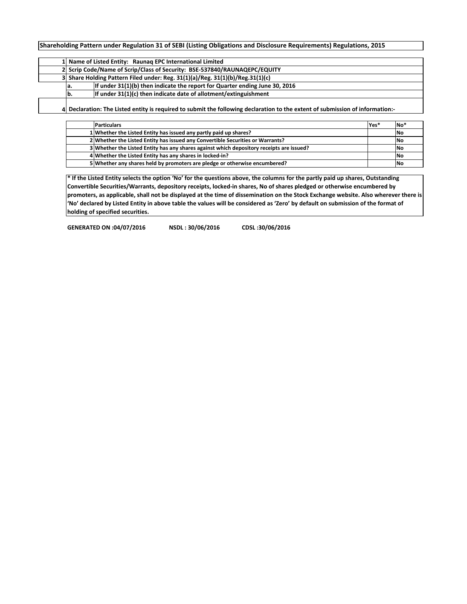**Shareholding Pattern under Regulation 31 of SEBI (Listing Obligations and Disclosure Requirements) Regulations, 2015**

|  | 1 Name of Listed Entity: Raunag EPC International Limited                 |                                                                                    |  |  |  |  |  |  |  |  |  |  |  |
|--|---------------------------------------------------------------------------|------------------------------------------------------------------------------------|--|--|--|--|--|--|--|--|--|--|--|
|  | 2 Scrip Code/Name of Scrip/Class of Security: BSE-537840/RAUNAQEPC/EQUITY |                                                                                    |  |  |  |  |  |  |  |  |  |  |  |
|  |                                                                           | 3 Share Holding Pattern Filed under: Reg. $31(1)(a)/Reg$ . $31(1)(b)/Reg.31(1)(c)$ |  |  |  |  |  |  |  |  |  |  |  |
|  | la.                                                                       | If under 31(1)(b) then indicate the report for Quarter ending June 30, 2016        |  |  |  |  |  |  |  |  |  |  |  |
|  | b.                                                                        | If under 31(1)(c) then indicate date of allotment/extinguishment                   |  |  |  |  |  |  |  |  |  |  |  |
|  |                                                                           |                                                                                    |  |  |  |  |  |  |  |  |  |  |  |

**4 Declaration: The Listed entity is required to submit the following declaration to the extent of submission of information:-**

| <b>Particulars</b>                                                                       | Yes <sup>*</sup> | No <sup>*</sup> |
|------------------------------------------------------------------------------------------|------------------|-----------------|
| 1 Whether the Listed Entity has issued any partly paid up shares?                        |                  | No              |
| 2 Whether the Listed Entity has issued any Convertible Securities or Warrants?           |                  | No              |
| 3 Whether the Listed Entity has any shares against which depository receipts are issued? |                  | No              |
| 4 Whether the Listed Entity has any shares in locked-in?                                 |                  | <b>No</b>       |
| 5 Whether any shares held by promoters are pledge or otherwise encumbered?               |                  | l No            |

**\* If the Listed Entity selects the option 'No' for the questions above, the columns for the partly paid up shares, Outstanding Convertible Securities/Warrants, depository receipts, locked-in shares, No of shares pledged or otherwise encumbered by promoters, as applicable, shall not be displayed at the time of dissemination on the Stock Exchange website. Also wherever there is 'No' declared by Listed Entity in above table the values will be considered as 'Zero' by default on submission of the format of holding of specified securities.**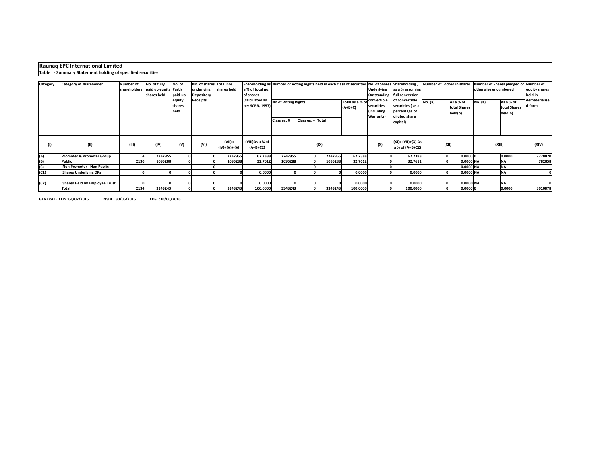|          | Raunag EPC International Limited                                                                     |                                  |                                                      |                          |                                                      |                             |                                   |                            |                   |         |                              |                                                              |                                                                      |         |                                                                  |                      |                                      |                         |
|----------|------------------------------------------------------------------------------------------------------|----------------------------------|------------------------------------------------------|--------------------------|------------------------------------------------------|-----------------------------|-----------------------------------|----------------------------|-------------------|---------|------------------------------|--------------------------------------------------------------|----------------------------------------------------------------------|---------|------------------------------------------------------------------|----------------------|--------------------------------------|-------------------------|
|          | Table I - Summary Statement holding of specified securities                                          |                                  |                                                      |                          |                                                      |                             |                                   |                            |                   |         |                              |                                                              |                                                                      |         |                                                                  |                      |                                      |                         |
|          | Shareholding as Number of Voting Rights held in each class of securities No. of Shares Shareholding, |                                  |                                                      |                          |                                                      |                             |                                   |                            |                   |         |                              |                                                              |                                                                      |         |                                                                  |                      |                                      |                         |
| Category | Category of shareholder                                                                              | <b>Number of</b><br>shareholders | No. of fully<br>paid up equity Partly<br>shares held | No. of<br>paid-up        | No. of shares Total nos.<br>underlying<br>Depository | shares held                 | a % of total no.<br>of shares     |                            |                   |         |                              | <b>Underlying</b><br>Outstanding                             | as a % assuming<br>full conversion                                   |         | Number of Locked in shares Number of Shares pledged or Number of | otherwise encumbered | equity shares<br>held in             |                         |
|          |                                                                                                      |                                  |                                                      | equity<br>shares<br>held | Receipts                                             |                             | (calculated as<br>per SCRR, 1957) | <b>No of Voting Rights</b> |                   |         | Total as a % of<br>$(A+B+C)$ | convertible<br>securities<br>(including<br><b>Warrants</b> ) | of convertible<br>securities (as a<br>percentage of<br>diluted share | No. (a) | As a % of<br>total Shares<br>held(b)                             | No. (a)              | As a % of<br>total Shares<br>held(b) | dematerialise<br>d form |
|          |                                                                                                      |                                  |                                                      |                          |                                                      |                             |                                   | Class eg: X                | Class eg: y Total |         |                              |                                                              | capital)                                                             |         |                                                                  |                      |                                      |                         |
| (1)      | (II)                                                                                                 | (III)                            | (IV)                                                 | (V)                      | (VI)                                                 | $(VII) =$<br>(IV)+(V)+ (VI) | (VIII)As a % of<br>$(A+B+C2)$     |                            | (IX)              |         |                              |                                                              | (XI)= (VII)+(X) As<br>a % of (A+B+C2)                                |         | (XII)                                                            | (XIII)               |                                      | (XIV)                   |
| (A)      | <b>Promoter &amp; Promoter Group</b>                                                                 |                                  | 2247955                                              |                          |                                                      | 2247955                     | 67.2388                           | 2247955                    |                   | 2247955 | 67.2388                      |                                                              | 67.2388                                                              |         | 0.00000                                                          |                      | 0.0000                               | 2228020                 |
| (B)      | <b>Public</b>                                                                                        | 2130                             | 1095288                                              |                          |                                                      | 1095288                     | 32.7612                           | 1095288                    |                   | 1095288 | 32.7612                      |                                                              | 32.7612                                                              |         | 0.0000 NA                                                        |                      | <b>NA</b>                            | 782858                  |
| (C)      | Non Promoter - Non Public                                                                            |                                  |                                                      |                          |                                                      |                             |                                   |                            |                   |         |                              |                                                              |                                                                      |         | 0.0000 NA                                                        |                      | <b>NA</b>                            |                         |
| (C1)     | <b>Shares Underlying DRs</b>                                                                         |                                  |                                                      |                          |                                                      |                             | 0.0000                            |                            |                   |         | 0.0000                       |                                                              | 0.0000                                                               |         | 0.0000 NA                                                        |                      | <b>NA</b>                            |                         |
| (C2)     | <b>Shares Held By Employee Trust</b>                                                                 |                                  |                                                      |                          |                                                      |                             | 0.0000                            |                            |                   |         | 0.0000                       |                                                              | 0.0000                                                               |         | 0.0000 NA                                                        |                      | <b>NA</b>                            |                         |
|          | Total                                                                                                | 2134                             | 3343243                                              |                          |                                                      | 3343243                     | 100.0000                          | 3343243                    |                   | 3343243 | 100.0000                     |                                                              | 100.0000                                                             |         | 0.00000                                                          |                      | 0.0000                               | 3010878                 |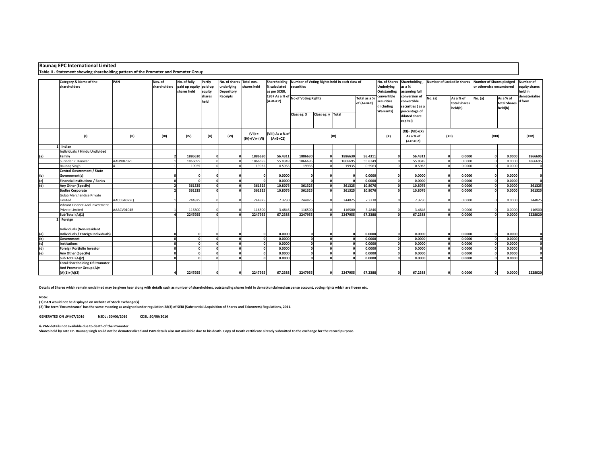## **Raunaq EPC International Limited**

#### **Table II - Statement showing shareholding pattern of the Promoter and Promoter Group**

|            | Category & Name of the                                                 | PAN        | Nos. of        | No. of fully           | Partly     | No. of shares Total nos. |                 | Shareholding                       | Number of Voting Rights held in each class of |                   |         |              |                   | No. of Shares Shareholding, | Number of Locked in shares |              | <b>Number of Shares pledged</b> | Number of    |               |
|------------|------------------------------------------------------------------------|------------|----------------|------------------------|------------|--------------------------|-----------------|------------------------------------|-----------------------------------------------|-------------------|---------|--------------|-------------------|-----------------------------|----------------------------|--------------|---------------------------------|--------------|---------------|
|            | shareholders                                                           |            | shareholders   | paid up equity paid-up |            | underlying               | shares held     | % calculated                       | securities                                    |                   |         |              | <b>Underlying</b> | as a %                      |                            |              | or otherwise encumbered         |              | equity shares |
|            |                                                                        |            |                | shares held            | equity     | <b>Depository</b>        |                 | as per SCRR,                       |                                               |                   |         |              | Outstanding       | assuming full               |                            |              |                                 |              | held in       |
|            |                                                                        |            |                |                        | shares     | <b>Receipts</b>          |                 | 1957 As a % of No of Voting Rights |                                               |                   |         | Total as a % | convertible       | conversion of               | No. (a)                    | As a % of    | No. (a)                         | As a % of    | dematerialise |
|            |                                                                        |            |                |                        | held       |                          |                 | $(A+B+C2)$                         |                                               |                   |         | of $(A+B+C)$ | securities        | convertible                 |                            | total Shares |                                 | total Shares | d form        |
|            |                                                                        |            |                |                        |            |                          |                 |                                    |                                               |                   |         |              | (including        | securities (as a            |                            | held(b)      |                                 | held(b)      |               |
|            |                                                                        |            |                |                        |            |                          |                 |                                    | Class eg: X                                   | Class eg: y Total |         |              | Warrants)         | percentage of               |                            |              |                                 |              |               |
|            |                                                                        |            |                |                        |            |                          |                 |                                    |                                               |                   |         |              |                   | diluted share               |                            |              |                                 |              |               |
|            |                                                                        |            |                |                        |            |                          |                 |                                    |                                               |                   |         |              |                   | capital)                    |                            |              |                                 |              |               |
|            |                                                                        |            |                |                        |            |                          | $(VII) =$       | (VIII) As a % of                   |                                               |                   |         |              |                   | $(XI) = (VII)+(X)$          |                            |              |                                 |              |               |
|            | (1)                                                                    | (II)       | (III)          | (IV)                   | (V)        | (VI)                     | $(IV)+(V)+(VI)$ | $(A+B+C2)$                         |                                               |                   | (IX)    |              | (X)               | As a % of                   | (XII)                      |              | (XIII)                          |              | (XIV)         |
|            |                                                                        |            |                |                        |            |                          |                 |                                    |                                               |                   |         |              |                   | $(A+B+C2)$                  |                            |              |                                 |              |               |
|            | Indian                                                                 |            |                |                        |            |                          |                 |                                    |                                               |                   |         |              |                   |                             |                            |              |                                 |              |               |
|            | <b>Individuals / Hindu Undivided</b>                                   |            |                |                        |            |                          |                 |                                    |                                               |                   |         |              |                   |                             |                            |              |                                 |              |               |
| (a)        | Family                                                                 |            |                | 1886630                |            |                          | 1886630         | 56.4311                            | 1886630                                       |                   | 1886630 | 56.4311      |                   | 56.4311                     |                            | 0.0000       |                                 | 0.0000       | 1866695       |
|            | Surinder P. Kanwar                                                     | AAFPK8732L |                | 1866695                |            |                          | 1866695         | 55.8349                            | 1866695                                       |                   | 1866695 | 55,8349      |                   | 55.8349                     |                            | 0.0000       |                                 | 0.0000       | 1866695       |
|            | Raunag Singh                                                           |            |                | 19935                  |            |                          | 19935           | 0.5963                             | 19935                                         |                   | 19935   | 0.5963       |                   | 0.5963                      |                            | 0.0000       |                                 | 0.0000       | $\mathbf{0}$  |
|            | Central Government / State                                             |            |                |                        |            |                          |                 |                                    |                                               |                   |         |              |                   |                             |                            |              |                                 |              |               |
| (b)        | Government(s)                                                          |            |                |                        |            |                          |                 | 0.0000                             |                                               |                   |         | 0.0000       |                   | 0.0000                      |                            | 0.0000       |                                 | 0.0000       | $\mathbf{0}$  |
| (c)        | <b>Financial Institutions / Banks</b>                                  |            | $\Omega$       |                        | $\sqrt{2}$ |                          |                 | 0.0000                             | $\mathbf{r}$                                  |                   |         | 0.0000       | $\Omega$          | 0.0000                      |                            | 0.0000       |                                 | 0.0000       | $\Omega$      |
| (d)        | Any Other (Specify)                                                    |            | $\overline{2}$ | 361325                 |            |                          | 361325          | 10.8076                            | 361325                                        |                   | 361325  | 10.8076      |                   | 10.8076                     |                            | 0.0000       |                                 | 0.0000       | 361325        |
|            | <b>Bodies Corporate</b>                                                |            |                | 361325                 | $\sqrt{2}$ |                          | 361325          | 10.8076                            | 361325                                        |                   | 361325  | 10.8076      |                   | 10.8076                     |                            | 0.0000       |                                 | 0.0000       | 361325        |
|            | Gulab Merchandise Private                                              |            |                |                        |            |                          |                 |                                    |                                               |                   |         |              |                   |                             |                            |              |                                 |              |               |
|            | Limited                                                                | AACCG4079Q |                | 244825                 |            |                          | 244825          | 7.3230                             | 244825                                        |                   | 244825  | 7.3230       |                   | 7.3230                      |                            | 0.0000       |                                 | 0.0000       | 244825        |
|            | Vibrant Finance And Investment                                         |            |                |                        |            |                          |                 |                                    |                                               |                   |         |              |                   |                             |                            |              |                                 |              |               |
|            | Private Limited                                                        | AAACV0104B |                | 116500                 | $\sqrt{2}$ |                          | 116500          | 3.4846                             | 116500                                        |                   | 116500  | 3.4846       |                   | 3.4846                      |                            | 0.0000       |                                 | 0.0000       | 116500        |
|            | Sub Total (A)(1)                                                       |            |                | 2247955                |            |                          | 2247955         | 67.2388                            | 2247955                                       |                   | 2247955 | 67.2388      |                   | 67.2388                     |                            | 0.0000       |                                 | 0.0000       | 2228020       |
|            | 2 Foreign                                                              |            |                |                        |            |                          |                 |                                    |                                               |                   |         |              |                   |                             |                            |              |                                 |              |               |
|            |                                                                        |            |                |                        |            |                          |                 |                                    |                                               |                   |         |              |                   |                             |                            |              |                                 |              |               |
|            | <b>Individuals (Non-Resident</b><br>Individuals / Foreign Individuals) |            |                |                        |            |                          |                 | 0.0000                             | n                                             |                   |         | 0.0000<br>C  | $\sqrt{2}$        | 0.0000                      |                            | 0.0000       |                                 | 0.0000       | $\Omega$      |
| (a)<br>(b) | Government                                                             |            | $\Omega$       |                        | $\sqrt{2}$ |                          |                 | 0.0000                             | $\Omega$                                      |                   |         | 0.0000       | $\mathbf{r}$      | 0.0000                      |                            | 0.0000       |                                 | 0.0000       | $\mathbf{0}$  |
| (c)        | <b>Institutions</b>                                                    |            | $\Omega$       |                        |            |                          |                 | 0.0000                             | $\mathbf{r}$                                  |                   |         | 0.0000       |                   | 0.0000                      |                            | 0.0000       |                                 | 0.0000       | $\mathbf{0}$  |
| (d)        | <b>Foreign Portfolio Investor</b>                                      |            | $\Omega$       |                        |            |                          |                 | 0.0000                             | $\sqrt{2}$                                    |                   |         | 0.0000       |                   | 0.0000                      |                            | 0.0000       |                                 | 0.0000       | $\mathbf{0}$  |
| (e)        | Any Other (Specify)                                                    |            | $\Omega$       |                        | $\sqrt{2}$ | $\sqrt{2}$               |                 | 0.0000                             | $\Omega$                                      |                   |         | 0.0000       |                   | 0.0000                      |                            | 0.0000       |                                 | 0.0000       | $\Omega$      |
|            | Sub Total (A)(2)                                                       |            | $\sqrt{2}$     |                        |            |                          |                 | 0.0000                             | n                                             |                   |         | 0.0000       |                   | 0.0000                      |                            | 0.0000       |                                 | 0.0000       | $\Omega$      |
|            | <b>Total Shareholding Of Promoter</b>                                  |            |                |                        |            |                          |                 |                                    |                                               |                   |         |              |                   |                             |                            |              |                                 |              |               |
|            | And Promoter Group (A)=                                                |            |                |                        |            |                          |                 |                                    |                                               |                   |         |              |                   |                             |                            |              |                                 |              |               |
|            | $(A)(1)+(A)(2)$                                                        |            |                | 2247955                | $\Omega$   |                          | 2247955         | 67.2388                            | 2247955                                       |                   | 2247955 | 67.2388      | $\Omega$          | 67.2388                     |                            | 0.0000       |                                 | 0.0000       | 2228020       |
|            |                                                                        |            |                |                        |            |                          |                 |                                    |                                               |                   |         |              |                   |                             |                            |              |                                 |              |               |

**Details of Shares which remain unclaimed may be given hear along with details such as number of shareholders, outstanding shares held in demat/unclaimed suspense account, voting rights which are frozen etc.**

### **Note:**

**(1) PAN would not be displayed on website of Stock Exchange(s)** 

**(2) The term 'Encumbrance' has the same meaning as assigned under regulation 28(3) of SEBI (Substantial Acquisition of Shares and Takeovers) Regulations, 2011.**

**GENERATED ON :04/07/2016 NSDL : 30/06/2016 CDSL :30/06/2016** 

**& PAN details not available due to death of the Promoter**

**Shares held by Late Dr. Raunaq Singh could not be dematerialized and PAN details also not available due to his death. Copy of Death certificate already submitted to the exchange for the record purpose.**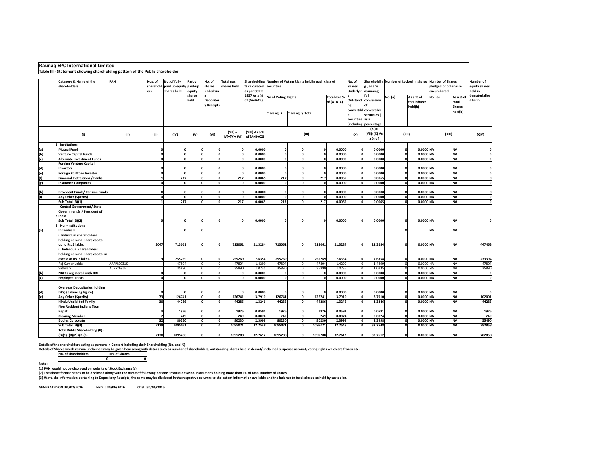|            | Raunaq EPC International Limited                                                          |                                                                                                                                                                                                                                                                                           |                 |                   |                |                              |              |                                               |                                                |                              |             |                                                               |                                                        |                                       |                                      |                        |                                                |                         |             |
|------------|-------------------------------------------------------------------------------------------|-------------------------------------------------------------------------------------------------------------------------------------------------------------------------------------------------------------------------------------------------------------------------------------------|-----------------|-------------------|----------------|------------------------------|--------------|-----------------------------------------------|------------------------------------------------|------------------------------|-------------|---------------------------------------------------------------|--------------------------------------------------------|---------------------------------------|--------------------------------------|------------------------|------------------------------------------------|-------------------------|-------------|
|            | Table III - Statement showing shareholding pattern of the Public shareholder              |                                                                                                                                                                                                                                                                                           |                 |                   |                |                              |              |                                               |                                                |                              |             |                                                               |                                                        |                                       |                                      |                        |                                                |                         |             |
|            | Category & Name of the<br>shareholders                                                    | PAN<br>No. of fully<br>Total nos.<br>Shareholding<br>Number of Voting Rights held in each class of<br>Nos. of<br>Partly<br>No. of<br>securities<br>sharehold paid up equity paid-up<br>shares<br>shares held<br>% calculated<br>as per SCRR,<br>shares held<br>equity<br>underlyin<br>ers |                 |                   |                |                              |              | No. of<br><b>Shares</b>                       | Shareholdin<br>g, as a %<br>Underlyin assuming | Number of Locked in shares   |             | <b>Number of Shares</b><br>pledged or otherwise<br>encumbered |                                                        | Number of<br>equity shares<br>held in |                                      |                        |                                                |                         |             |
|            |                                                                                           |                                                                                                                                                                                                                                                                                           |                 |                   | shares<br>held | Depositor<br><b>Receipts</b> |              | 1957 As a %<br>of $(A+B+C2)$                  | <b>No of Voting Rights</b>                     | Total as a %<br>of $(A+B+C)$ |             |                                                               | full<br>Outstandi conversion<br>convertibl convertible | No. (a)                               | As a % of<br>total Shares<br>held(b) | No. (a)                | As a % of<br>total<br><b>Shares</b><br>held(b) | dematerialise<br>d form |             |
|            |                                                                                           |                                                                                                                                                                                                                                                                                           |                 |                   |                |                              |              |                                               | Class eg: X                                    | Class eg: y Total            |             |                                                               | securities as a                                        | securities (<br>(including percentage |                                      |                        |                                                |                         |             |
|            | (1)                                                                                       | (II)                                                                                                                                                                                                                                                                                      | (III)           | (IV)              | (V)            | (VI)                         | $(VII) =$    | (VIII) As a %<br>(IV)+(V)+ (VI)   of (A+B+C2) |                                                | (IX)                         |             |                                                               | (X)                                                    | $(XI) =$<br>(VII)+(X) As<br>a % of    | (XII)                                |                        |                                                | (XIII)                  | (XIV)       |
| (a)        | 1 Institutions<br><b>Mutual Fund</b>                                                      |                                                                                                                                                                                                                                                                                           | $\mathbf{0}$    | $\mathbf 0$       | $\Omega$       | $\Omega$                     | $\Omega$     | 0.0000                                        | $\mathbf{0}$                                   | $\Omega$                     | $\Omega$    | 0.0000                                                        | $\Omega$                                               | 0.0000                                | o                                    | 0.0000 NA              |                                                | <b>NA</b>               |             |
| (b)        | <b>Venture Capital Funds</b>                                                              |                                                                                                                                                                                                                                                                                           | $\mathbf{0}$    | $\mathbf 0$       | n              |                              | $\mathbf{0}$ | 0.0000                                        | $\mathbf{0}$                                   | n                            |             | 0.0000                                                        | $\Omega$                                               | 0.0000                                | 0                                    | 0.0000 NA              |                                                | <b>NA</b>               |             |
| (c)        | Alternate Investment Funds                                                                |                                                                                                                                                                                                                                                                                           | o               | $\mathbf{o}$      | $\Omega$       | O                            | $\Omega$     | 0.0000                                        | $\mathbf{0}$                                   | $\mathbf{0}$                 |             | 0.0000                                                        | $\mathbf{o}$                                           | 0.0000                                | ol                                   | 0.0000 NA              |                                                | <b>NA</b>               |             |
|            | <b>Foreign Venture Capital</b><br><b>Investors</b>                                        |                                                                                                                                                                                                                                                                                           | $\Omega$        | $\Omega$          |                |                              |              | 0.0000                                        | $\mathbf{0}$                                   |                              |             | 0.0000                                                        | $\Omega$                                               | 0.0000                                | $\Omega$                             | 0.0000 NA              |                                                | <b>NA</b>               |             |
| (d)<br>(e) | Foreign Portfolio Investor                                                                |                                                                                                                                                                                                                                                                                           | $\Omega$        | $\mathbf{o}$      |                | $\mathbf{0}$                 | $\mathbf{0}$ | 0.0000                                        | $\mathbf{0}$                                   | $\Omega$                     | $\Omega$    | 0.0000                                                        | $\Omega$                                               | 0.0000                                | $\Omega$                             | 0.0000 NA              |                                                | <b>NA</b>               |             |
| (f)        | <b>Financial Institutions / Banks</b>                                                     |                                                                                                                                                                                                                                                                                           | $1\overline{ }$ | 217               |                | O                            | 217          | 0.0065                                        | 217                                            | n                            | 217         | 0.0065                                                        | O                                                      | 0.0065                                | $\mathbf{0}$                         | 0.0000 NA              |                                                | <b>NA</b>               | $\Omega$    |
| (g)        | <b>Insurance Companies</b>                                                                |                                                                                                                                                                                                                                                                                           |                 | οl<br>$\mathbf 0$ |                | O                            | $\mathbf{0}$ | 0.0000                                        | $\mathbf{0}$                                   | n                            | $\Omega$    | 0.0000                                                        | οl                                                     | 0.0000                                | o                                    | 0.0000 NA              |                                                | <b>NA</b>               |             |
| (h)        | <b>Provident Funds/ Pension Funds</b>                                                     |                                                                                                                                                                                                                                                                                           | $\Omega$        | $\Omega$          |                | O                            |              | 0.0000                                        | $\mathbf{0}$                                   |                              |             | 0.0000                                                        | $\Omega$                                               | 0.0000                                | $\Omega$                             | 0.0000 NA              |                                                | <b>NA</b>               | $\Omega$    |
| (i)        | Any Other (Specify)                                                                       |                                                                                                                                                                                                                                                                                           | o               | $\mathbf{o}$      |                | $\mathbf{0}$                 | $\mathbf{0}$ | 0.0000                                        | $\mathbf{0}$                                   | $\mathbf{0}$                 | $\Omega$    | 0.0000                                                        |                                                        | 0.0000                                | $\Omega$                             | 0.0000 NA              |                                                | <b>NA</b>               |             |
|            | Sub Total (B)(1)                                                                          |                                                                                                                                                                                                                                                                                           | $\mathbf{1}$    | 217               |                |                              | 217          | 0.0065                                        | 217                                            |                              | 217         | 0.0065                                                        |                                                        | 0.0065                                | $\mathbf{o}$                         | 0.0000 NA              |                                                | <b>NA</b>               |             |
|            | <b>Central Government/ State</b><br>Government(s)/ President of<br>2 India                |                                                                                                                                                                                                                                                                                           |                 |                   |                |                              |              |                                               |                                                |                              |             |                                                               |                                                        |                                       |                                      |                        |                                                |                         |             |
|            | Sub Total (B)(2)                                                                          |                                                                                                                                                                                                                                                                                           | $\Omega$        | 0                 | $\Omega$       | $\Omega$                     | $\sqrt{2}$   | 0.0000                                        | $\mathbf{0}$                                   | $\Omega$                     |             | 0.0000                                                        | $\Omega$                                               | 0.0000                                | o                                    | 0.0000 NA              |                                                | <b>NA</b>               |             |
|            | 3 Non-Institutions                                                                        |                                                                                                                                                                                                                                                                                           |                 |                   |                |                              |              |                                               |                                                |                              |             |                                                               |                                                        |                                       |                                      |                        |                                                |                         |             |
| (a)        | <b>Individuals</b>                                                                        |                                                                                                                                                                                                                                                                                           |                 | $\mathbf{o}$      | $\Omega$       |                              |              |                                               |                                                |                              |             |                                                               |                                                        |                                       | o                                    |                        | <b>NA</b>                                      | <b>NA</b>               |             |
|            | i. Individual shareholders<br>holding nominal share capital<br>up to Rs. 2 lakhs.         |                                                                                                                                                                                                                                                                                           | 2047            | 713061            |                | o                            | 713061       | 21.3284                                       | 713061                                         | $\Omega$                     | 713061      | 21.3284                                                       |                                                        | 21.3284                               | $\mathbf{0}$                         | 0.0000 NA              |                                                | <b>NA</b>               | 447463      |
|            | ii. Individual shareholders<br>holding nominal share capital in<br>excess of Rs. 2 lakhs. |                                                                                                                                                                                                                                                                                           |                 | 255269            |                |                              | 255269       | 7.6354                                        | 255269                                         |                              | 255269      | 7.6354                                                        |                                                        | 7.6354                                | $\Omega$                             | 0.0000 NA              |                                                | <b>NA</b>               | 233394      |
|            | Raj Kumar Lohia                                                                           | AAFPL0031K                                                                                                                                                                                                                                                                                |                 | 47804             |                | $\Omega$                     | 47804        | 1.4299                                        | 47804                                          | $\Omega$                     | 47804       | 1.4299                                                        | $\circ$                                                | 1.4299                                | $\circ$                              | 0.0000 NA              |                                                | NA                      | 47804       |
|            | Sathya S                                                                                  | AIJPS2696H                                                                                                                                                                                                                                                                                |                 | 35890             |                |                              | 35890        | 1.073                                         | 35890                                          |                              | 35890       | 1.0735                                                        | $\Omega$                                               | 1.0735                                | $\circ$                              | 0.0000 NA              |                                                | NA                      | 35890       |
| (b)        | <b>NBFCs registered with RBI</b>                                                          |                                                                                                                                                                                                                                                                                           | $\mathbf{0}$    | $\mathbf{0}$      | $\Omega$       | $\Omega$                     | $\Omega$     | 0.0000                                        | $\mathbf{0}$                                   | $\Omega$                     | $\Omega$    | 0.0000                                                        | 0                                                      | 0.0000                                | $\mathbf{0}$                         | 0.0000 NA              |                                                | <b>NA</b>               | $\Omega$    |
| (c)        | <b>Employee Trusts</b>                                                                    |                                                                                                                                                                                                                                                                                           | o               | $\mathbf{o}$      | n              | O                            | $\Omega$     | 0.0000                                        | $\mathbf{0}$                                   | n                            | $\Omega$    | 0.0000                                                        | n                                                      | 0.0000                                | $\mathbf{0}$                         | 0.0000 NA              |                                                | <b>NA</b>               |             |
| (d)        | <b>Overseas Depositories(holding</b><br>DRs) (balancing figure)                           |                                                                                                                                                                                                                                                                                           | $\Omega$        |                   |                |                              |              | 0.0000                                        |                                                |                              |             | 0.0000                                                        |                                                        | 0.0000                                | $\mathbf{0}$                         | 0.0000 NA              |                                                | <b>NA</b>               |             |
| (e)        | Any Other (Specify)                                                                       |                                                                                                                                                                                                                                                                                           | 73              | 126741            | $\Omega$       | $\Omega$<br>$\Omega$         | 126741       | 3.7910                                        | 126741                                         | ol<br>$\Omega$               | 126741      | 3.7910                                                        | 0                                                      | 3.7910                                | o                                    | 0.0000 NA              |                                                | <b>NA</b>               | 102001      |
|            | <b>Hindu Undivided Family</b><br>Non Resident Indians (Non                                |                                                                                                                                                                                                                                                                                           | 30              | 44286             |                |                              | 44286        | 1.3246                                        | 44286                                          |                              | 44286       | 1.3246                                                        | $\Omega$                                               | 1.3246                                | $\mathbf{0}$                         | 0.0000 NA              |                                                | <b>NA</b>               | 44286       |
|            | Repat)<br><b>Clearing Member</b>                                                          |                                                                                                                                                                                                                                                                                           | 4<br>7          | 1976<br>249       |                | O<br>n                       | 1976<br>249  | 0.0591<br>0.0074                              | 1976<br>249                                    | $\mathbf{r}$<br>$\Omega$     | 1976<br>249 | 0.0591<br>0.0074                                              | $\Omega$<br>$\mathbf{0}$                               | 0.0591<br>0.0074                      | $\Omega$<br>ol                       | 0.0000 NA<br>0.0000 NA |                                                | <b>NA</b><br><b>NA</b>  | 1976<br>249 |
|            | <b>Bodies Corporate</b>                                                                   |                                                                                                                                                                                                                                                                                           | 32              | 80230             | $\Omega$       | $\mathbf{0}$                 | 80230        | 2.3998                                        | 80230                                          | o                            | 80230       | 2.3998                                                        | $\Omega$                                               | 2.3998                                | $\mathbf{0}$                         | 0.0000 NA              |                                                | <b>NA</b>               | 55490       |
|            | Sub Total (B)(3)                                                                          |                                                                                                                                                                                                                                                                                           | 2129            | 1095071           | $\Omega$       | $\Omega$                     | 1095071      | 32.7548                                       | 1095071                                        | n                            | 1095071     | 32.7548                                                       |                                                        | 32.7548                               | o                                    | 0.0000 NA              |                                                | <b>NA</b>               | 782858      |
|            | <b>Total Public Shareholding (B)=</b>                                                     |                                                                                                                                                                                                                                                                                           |                 |                   |                |                              |              |                                               |                                                |                              |             |                                                               |                                                        |                                       |                                      |                        |                                                |                         |             |
|            | $(B)(1)+(B)(2)+(B)(3)$                                                                    |                                                                                                                                                                                                                                                                                           | 2130            | 1095288           |                |                              | 1095288      | 32.7612                                       | 1095288                                        |                              | 1095288     | 32.7612                                                       |                                                        | 32.7612                               | $\Omega$                             | 0.0000 NA              |                                                | <b>NA</b>               | 782858      |

Details of the shareholders acting as persons in Concert including their Shareholding (No. and %):<br>Details of Share<u>s which remain unclaimed may be given hear along with details such as number of shareholders, outstanding </u>

**<sup>0</sup> <sup>0</sup>**

**Note:** 

**(1) PAN would not be displayed on website of Stock Exchange(s).** 

**(2) The above format needs to be disclosed along with the name of following persons:Institutions/Non Institutions holding more than 1% of total number of shares**

**(3) W.r.t. the information pertaining to Depository Receipts, the same may be disclosed in the respective columns to the extent information available and the balance to be disclosed as held by custodian.**